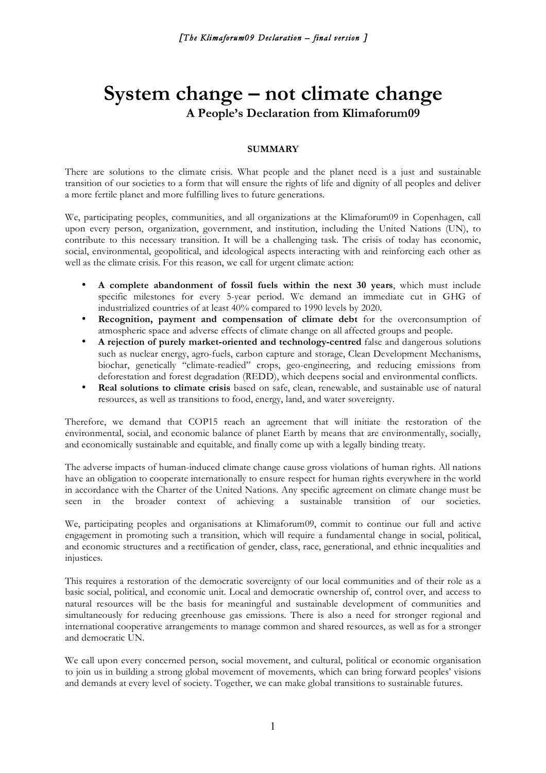# **System change – not climate change A People's Declaration from Klimaforum09**

#### **SUMMARY**

There are solutions to the climate crisis. What people and the planet need is a just and sustainable transition of our societies to a form that will ensure the rights of life and dignity of all peoples and deliver a more fertile planet and more fulfilling lives to future generations.

We, participating peoples, communities, and all organizations at the Klimaforum09 in Copenhagen, call upon every person, organization, government, and institution, including the United Nations (UN), to contribute to this necessary transition. It will be a challenging task. The crisis of today has economic, social, environmental, geopolitical, and ideological aspects interacting with and reinforcing each other as well as the climate crisis. For this reason, we call for urgent climate action:

- **A complete abandonment of fossil fuels within the next 30 years**, which must include specific milestones for every 5-year period. We demand an immediate cut in GHG of industrialized countries of at least 40% compared to 1990 levels by 2020.
- **Recognition, payment and compensation of climate debt** for the overconsumption of atmospheric space and adverse effects of climate change on all affected groups and people.
- **A rejection of purely market-oriented and technology-centred** false and dangerous solutions such as nuclear energy, agro-fuels, carbon capture and storage, Clean Development Mechanisms, biochar, genetically "climate-readied" crops, geo-engineering, and reducing emissions from deforestation and forest degradation (REDD), which deepens social and environmental conflicts.
- **Real solutions to climate crisis** based on safe, clean, renewable, and sustainable use of natural resources, as well as transitions to food, energy, land, and water sovereignty.

Therefore, we demand that COP15 reach an agreement that will initiate the restoration of the environmental, social, and economic balance of planet Earth by means that are environmentally, socially, and economically sustainable and equitable, and finally come up with a legally binding treaty.

The adverse impacts of human-induced climate change cause gross violations of human rights. All nations have an obligation to cooperate internationally to ensure respect for human rights everywhere in the world in accordance with the Charter of the United Nations. Any specific agreement on climate change must be seen in the broader context of achieving a sustainable transition of our societies.

We, participating peoples and organisations at Klimaforum09, commit to continue our full and active engagement in promoting such a transition, which will require a fundamental change in social, political, and economic structures and a rectification of gender, class, race, generational, and ethnic inequalities and injustices.

This requires a restoration of the democratic sovereignty of our local communities and of their role as a basic social, political, and economic unit. Local and democratic ownership of, control over, and access to natural resources will be the basis for meaningful and sustainable development of communities and simultaneously for reducing greenhouse gas emissions. There is also a need for stronger regional and international cooperative arrangements to manage common and shared resources, as well as for a stronger and democratic UN.

We call upon every concerned person, social movement, and cultural, political or economic organisation to join us in building a strong global movement of movements, which can bring forward peoples' visions and demands at every level of society. Together, we can make global transitions to sustainable futures.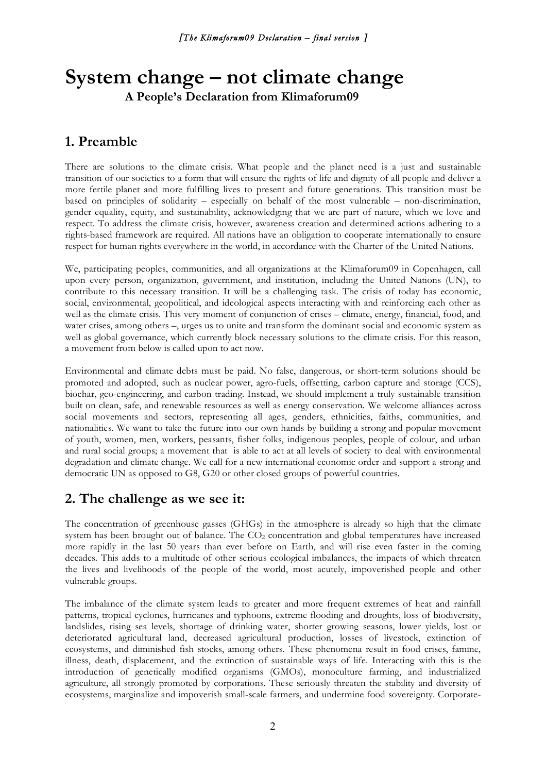# **System change – not climate change A People's Declaration from Klimaforum09**

# **1. Preamble**

There are solutions to the climate crisis. What people and the planet need is a just and sustainable transition of our societies to a form that will ensure the rights of life and dignity of all people and deliver a more fertile planet and more fulfilling lives to present and future generations. This transition must be based on principles of solidarity – especially on behalf of the most vulnerable – non-discrimination, gender equality, equity, and sustainability, acknowledging that we are part of nature, which we love and respect. To address the climate crisis, however, awareness creation and determined actions adhering to a rights-based framework are required. All nations have an obligation to cooperate internationally to ensure respect for human rights everywhere in the world, in accordance with the Charter of the United Nations.

We, participating peoples, communities, and all organizations at the Klimaforum09 in Copenhagen, call upon every person, organization, government, and institution, including the United Nations (UN), to contribute to this necessary transition. It will be a challenging task. The crisis of today has economic, social, environmental, geopolitical, and ideological aspects interacting with and reinforcing each other as well as the climate crisis. This very moment of conjunction of crises – climate, energy, financial, food, and water crises, among others –, urges us to unite and transform the dominant social and economic system as well as global governance, which currently block necessary solutions to the climate crisis. For this reason, a movement from below is called upon to act now.

Environmental and climate debts must be paid. No false, dangerous, or short-term solutions should be promoted and adopted, such as nuclear power, agro-fuels, offsetting, carbon capture and storage (CCS), biochar, geo-engineering, and carbon trading. Instead, we should implement a truly sustainable transition built on clean, safe, and renewable resources as well as energy conservation. We welcome alliances across social movements and sectors, representing all ages, genders, ethnicities, faiths, communities, and nationalities. We want to take the future into our own hands by building a strong and popular movement of youth, women, men, workers, peasants, fisher folks, indigenous peoples, people of colour, and urban and rural social groups; a movement that is able to act at all levels of society to deal with environmental degradation and climate change. We call for a new international economic order and support a strong and democratic UN as opposed to G8, G20 or other closed groups of powerful countries.

## **2. The challenge as we see it:**

The concentration of greenhouse gasses (GHGs) in the atmosphere is already so high that the climate system has been brought out of balance. The CO<sub>2</sub> concentration and global temperatures have increased more rapidly in the last 50 years than ever before on Earth, and will rise even faster in the coming decades. This adds to a multitude of other serious ecological imbalances, the impacts of which threaten the lives and livelihoods of the people of the world, most acutely, impoverished people and other vulnerable groups.

The imbalance of the climate system leads to greater and more frequent extremes of heat and rainfall patterns, tropical cyclones, hurricanes and typhoons, extreme flooding and droughts, loss of biodiversity, landslides, rising sea levels, shortage of drinking water, shorter growing seasons, lower yields, lost or deteriorated agricultural land, decreased agricultural production, losses of livestock, extinction of ecosystems, and diminished fish stocks, among others. These phenomena result in food crises, famine, illness, death, displacement, and the extinction of sustainable ways of life. Interacting with this is the introduction of genetically modified organisms (GMOs), monoculture farming, and industrialized agriculture, all strongly promoted by corporations. These seriously threaten the stability and diversity of ecosystems, marginalize and impoverish small-scale farmers, and undermine food sovereignty. Corporate-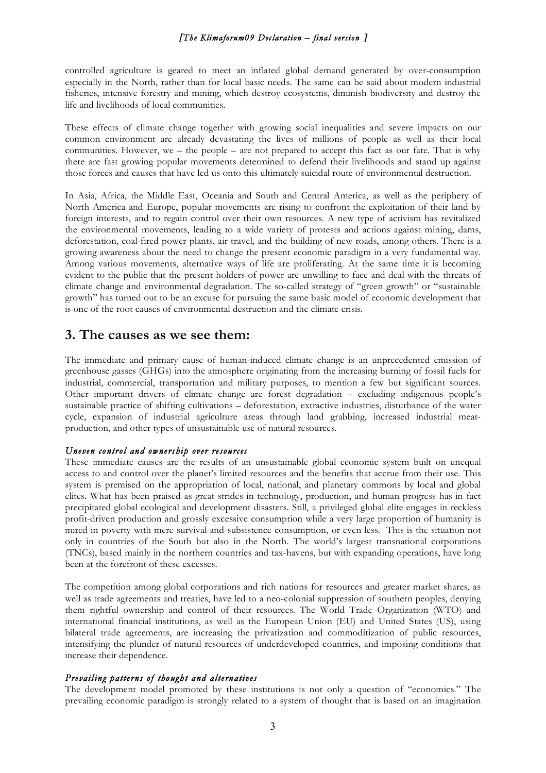controlled agriculture is geared to meet an inflated global demand generated by over-consumption especially in the North, rather than for local basic needs. The same can be said about modern industrial fisheries, intensive forestry and mining, which destroy ecosystems, diminish biodiversity and destroy the life and livelihoods of local communities.

These effects of climate change together with growing social inequalities and severe impacts on our common environment are already devastating the lives of millions of people as well as their local communities. However, we – the people – are not prepared to accept this fact as our fate. That is why there are fast growing popular movements determined to defend their livelihoods and stand up against those forces and causes that have led us onto this ultimately suicidal route of environmental destruction.

In Asia, Africa, the Middle East, Oceania and South and Central America, as well as the periphery of North America and Europe, popular movements are rising to confront the exploitation of their land by foreign interests, and to regain control over their own resources. A new type of activism has revitalized the environmental movements, leading to a wide variety of protests and actions against mining, dams, deforestation, coal-fired power plants, air travel, and the building of new roads, among others. There is a growing awareness about the need to change the present economic paradigm in a very fundamental way. Among various movements, alternative ways of life are proliferating. At the same time it is becoming evident to the public that the present holders of power are unwilling to face and deal with the threats of climate change and environmental degradation. The so-called strategy of "green growth" or "sustainable growth" has turned out to be an excuse for pursuing the same basic model of economic development that is one of the root causes of environmental destruction and the climate crisis.

### **3. The causes as we see them:**

The immediate and primary cause of human-induced climate change is an unprecedented emission of greenhouse gasses (GHGs) into the atmosphere originating from the increasing burning of fossil fuels for industrial, commercial, transportation and military purposes, to mention a few but significant sources. Other important drivers of climate change are forest degradation – excluding indigenous people's sustainable practice of shifting cultivations – deforestation, extractive industries, disturbance of the water cycle, expansion of industrial agriculture areas through land grabbing, increased industrial meatproduction, and other types of unsustainable use of natural resources.

#### *Uneve n co ntrol and owners hi p over resources*

These immediate causes are the results of an unsustainable global economic system built on unequal access to and control over the planet's limited resources and the benefits that accrue from their use. This system is premised on the appropriation of local, national, and planetary commons by local and global elites. What has been praised as great strides in technology, production, and human progress has in fact precipitated global ecological and development disasters. Still, a privileged global elite engages in reckless profit-driven production and grossly excessive consumption while a very large proportion of humanity is mired in poverty with mere survival-and-subsistence consumption, or even less. This is the situation not only in countries of the South but also in the North. The world's largest transnational corporations (TNCs), based mainly in the northern countries and tax-havens, but with expanding operations, have long been at the forefront of these excesses.

The competition among global corporations and rich nations for resources and greater market shares, as well as trade agreements and treaties, have led to a neo-colonial suppression of southern peoples, denying them rightful ownership and control of their resources. The World Trade Organization (WTO) and international financial institutions, as well as the European Union (EU) and United States (US), using bilateral trade agreements, are increasing the privatization and commoditization of public resources, intensifying the plunder of natural resources of underdeveloped countries, and imposing conditions that increase their dependence.

#### *Prevailing p atterns of tho ught and alternatives*

The development model promoted by these institutions is not only a question of "economics." The prevailing economic paradigm is strongly related to a system of thought that is based on an imagination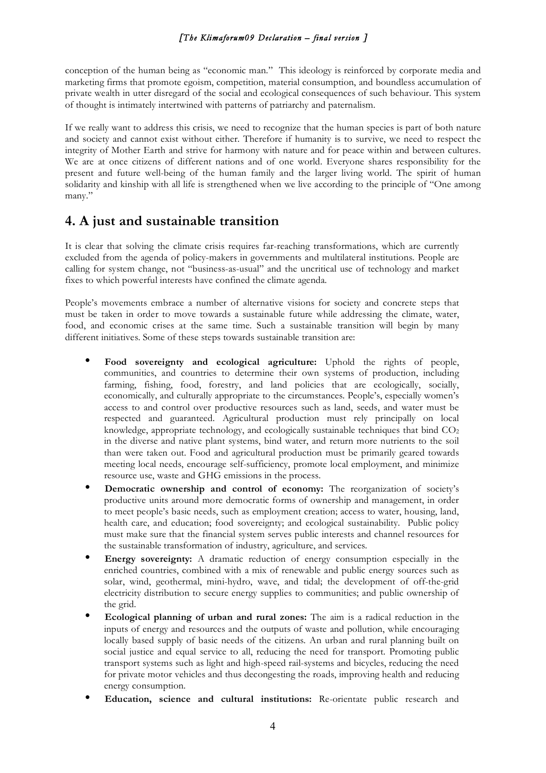conception of the human being as "economic man." This ideology is reinforced by corporate media and marketing firms that promote egoism, competition, material consumption, and boundless accumulation of private wealth in utter disregard of the social and ecological consequences of such behaviour. This system of thought is intimately intertwined with patterns of patriarchy and paternalism.

If we really want to address this crisis, we need to recognize that the human species is part of both nature and society and cannot exist without either. Therefore if humanity is to survive, we need to respect the integrity of Mother Earth and strive for harmony with nature and for peace within and between cultures. We are at once citizens of different nations and of one world. Everyone shares responsibility for the present and future well-being of the human family and the larger living world. The spirit of human solidarity and kinship with all life is strengthened when we live according to the principle of "One among many."

# **4. A just and sustainable transition**

It is clear that solving the climate crisis requires far-reaching transformations, which are currently excluded from the agenda of policy-makers in governments and multilateral institutions. People are calling for system change, not "business-as-usual" and the uncritical use of technology and market fixes to which powerful interests have confined the climate agenda.

People's movements embrace a number of alternative visions for society and concrete steps that must be taken in order to move towards a sustainable future while addressing the climate, water, food, and economic crises at the same time. Such a sustainable transition will begin by many different initiatives. Some of these steps towards sustainable transition are:

- **Food sovereignty and ecological agriculture:** Uphold the rights of people, communities, and countries to determine their own systems of production, including farming, fishing, food, forestry, and land policies that are ecologically, socially, economically, and culturally appropriate to the circumstances. People's, especially women's access to and control over productive resources such as land, seeds, and water must be respected and guaranteed. Agricultural production must rely principally on local knowledge, appropriate technology, and ecologically sustainable techniques that bind  $CO<sub>2</sub>$ in the diverse and native plant systems, bind water, and return more nutrients to the soil than were taken out. Food and agricultural production must be primarily geared towards meeting local needs, encourage self-sufficiency, promote local employment, and minimize resource use, waste and GHG emissions in the process.
- **Democratic ownership and control of economy:** The reorganization of society's productive units around more democratic forms of ownership and management, in order to meet people's basic needs, such as employment creation; access to water, housing, land, health care, and education; food sovereignty; and ecological sustainability. Public policy must make sure that the financial system serves public interests and channel resources for the sustainable transformation of industry, agriculture, and services.
- **Energy sovereignty:** A dramatic reduction of energy consumption especially in the enriched countries, combined with a mix of renewable and public energy sources such as solar, wind, geothermal, mini-hydro, wave, and tidal; the development of off-the-grid electricity distribution to secure energy supplies to communities; and public ownership of the grid.
- **Ecological planning of urban and rural zones:** The aim is a radical reduction in the inputs of energy and resources and the outputs of waste and pollution, while encouraging locally based supply of basic needs of the citizens. An urban and rural planning built on social justice and equal service to all, reducing the need for transport. Promoting public transport systems such as light and high-speed rail-systems and bicycles, reducing the need for private motor vehicles and thus decongesting the roads, improving health and reducing energy consumption.
- **Education, science and cultural institutions:** Re-orientate public research and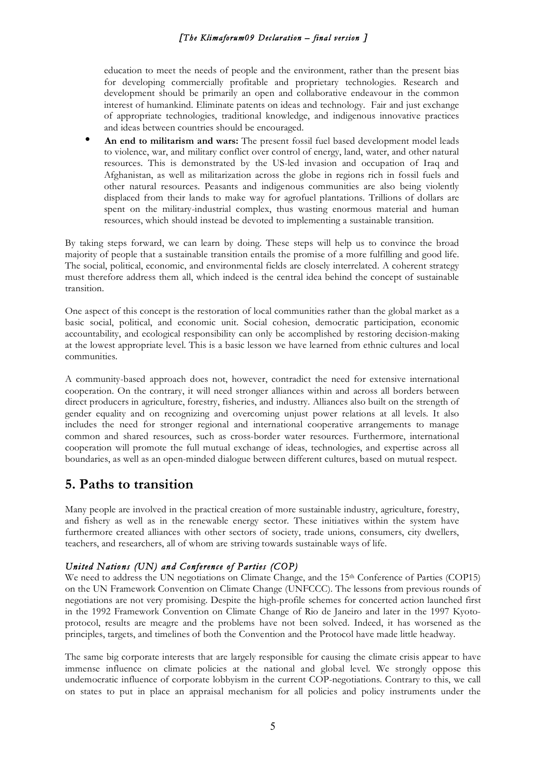education to meet the needs of people and the environment, rather than the present bias for developing commercially profitable and proprietary technologies. Research and development should be primarily an open and collaborative endeavour in the common interest of humankind. Eliminate patents on ideas and technology. Fair and just exchange of appropriate technologies, traditional knowledge, and indigenous innovative practices and ideas between countries should be encouraged.

• **An end to militarism and wars:** The present fossil fuel based development model leads to violence, war, and military conflict over control of energy, land, water, and other natural resources. This is demonstrated by the US-led invasion and occupation of Iraq and Afghanistan, as well as militarization across the globe in regions rich in fossil fuels and other natural resources. Peasants and indigenous communities are also being violently displaced from their lands to make way for agrofuel plantations. Trillions of dollars are spent on the military-industrial complex, thus wasting enormous material and human resources, which should instead be devoted to implementing a sustainable transition.

By taking steps forward, we can learn by doing. These steps will help us to convince the broad majority of people that a sustainable transition entails the promise of a more fulfilling and good life. The social, political, economic, and environmental fields are closely interrelated. A coherent strategy must therefore address them all, which indeed is the central idea behind the concept of sustainable transition.

One aspect of this concept is the restoration of local communities rather than the global market as a basic social, political, and economic unit. Social cohesion, democratic participation, economic accountability, and ecological responsibility can only be accomplished by restoring decision-making at the lowest appropriate level. This is a basic lesson we have learned from ethnic cultures and local communities.

A community-based approach does not, however, contradict the need for extensive international cooperation. On the contrary, it will need stronger alliances within and across all borders between direct producers in agriculture, forestry, fisheries, and industry. Alliances also built on the strength of gender equality and on recognizing and overcoming unjust power relations at all levels. It also includes the need for stronger regional and international cooperative arrangements to manage common and shared resources, such as cross-border water resources. Furthermore, international cooperation will promote the full mutual exchange of ideas, technologies, and expertise across all boundaries, as well as an open-minded dialogue between different cultures, based on mutual respect.

## **5. Paths to transition**

Many people are involved in the practical creation of more sustainable industry, agriculture, forestry, and fishery as well as in the renewable energy sector. These initiatives within the system have furthermore created alliances with other sectors of society, trade unions, consumers, city dwellers, teachers, and researchers, all of whom are striving towards sustainable ways of life.

#### United Nations (UN) and Conference of Parties (COP)

We need to address the UN negotiations on Climate Change, and the 15<sup>th</sup> Conference of Parties (COP15) on the UN Framework Convention on Climate Change (UNFCCC). The lessons from previous rounds of negotiations are not very promising. Despite the high-profile schemes for concerted action launched first in the 1992 Framework Convention on Climate Change of Rio de Janeiro and later in the 1997 Kyotoprotocol, results are meagre and the problems have not been solved. Indeed, it has worsened as the principles, targets, and timelines of both the Convention and the Protocol have made little headway.

The same big corporate interests that are largely responsible for causing the climate crisis appear to have immense influence on climate policies at the national and global level. We strongly oppose this undemocratic influence of corporate lobbyism in the current COP-negotiations. Contrary to this, we call on states to put in place an appraisal mechanism for all policies and policy instruments under the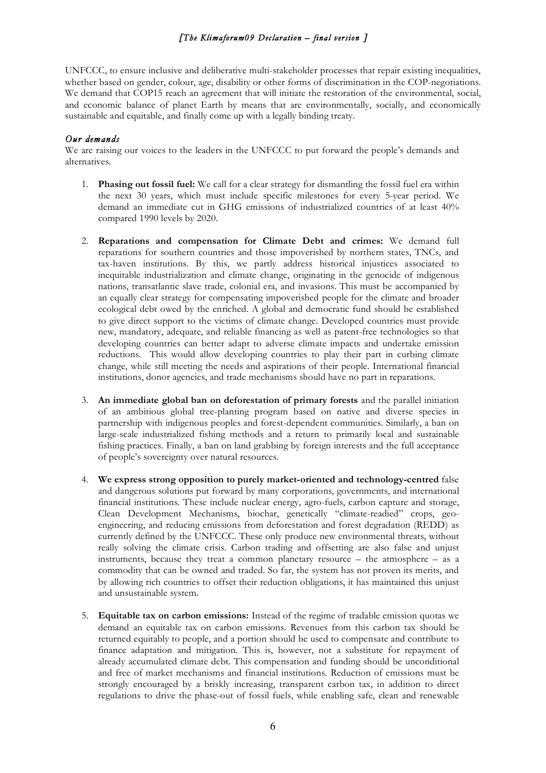UNFCCC, to ensure inclusive and deliberative multi-stakeholder processes that repair existing inequalities, whether based on gender, colour, age, disability or other forms of discrimination in the COP-negotiations. We demand that COP15 reach an agreement that will initiate the restoration of the environmental, social, and economic balance of planet Earth by means that are environmentally, socially, and economically sustainable and equitable, and finally come up with a legally binding treaty.

#### *Our demands*

We are raising our voices to the leaders in the UNFCCC to put forward the people's demands and alternatives.

- 1. **Phasing out fossil fuel:** We call for a clear strategy for dismantling the fossil fuel era within the next 30 years, which must include specific milestones for every 5-year period. We demand an immediate cut in GHG emissions of industrialized countries of at least 40% compared 1990 levels by 2020.
- 2. **Reparations and compensation for Climate Debt and crimes:** We demand full reparations for southern countries and those impoverished by northern states, TNCs, and tax-haven institutions. By this, we partly address historical injustices associated to inequitable industrialization and climate change, originating in the genocide of indigenous nations, transatlantic slave trade, colonial era, and invasions. This must be accompanied by an equally clear strategy for compensating impoverished people for the climate and broader ecological debt owed by the enriched. A global and democratic fund should be established to give direct support to the victims of climate change. Developed countries must provide new, mandatory, adequate, and reliable financing as well as patent-free technologies so that developing countries can better adapt to adverse climate impacts and undertake emission reductions. This would allow developing countries to play their part in curbing climate change, while still meeting the needs and aspirations of their people. International financial institutions, donor agencies, and trade mechanisms should have no part in reparations.
- 3. **An immediate global ban on deforestation of primary forests** and the parallel initiation of an ambitious global tree-planting program based on native and diverse species in partnership with indigenous peoples and forest-dependent communities. Similarly, a ban on large-scale industrialized fishing methods and a return to primarily local and sustainable fishing practices. Finally, a ban on land grabbing by foreign interests and the full acceptance of people's sovereignty over natural resources.
- 4. **We express strong opposition to purely market-oriented and technology-centred** false and dangerous solutions put forward by many corporations, governments, and international financial institutions. These include nuclear energy, agro-fuels, carbon capture and storage, Clean Development Mechanisms, biochar, genetically "climate-readied" crops, geoengineering, and reducing emissions from deforestation and forest degradation (REDD) as currently defined by the UNFCCC. These only produce new environmental threats, without really solving the climate crisis. Carbon trading and offsetting are also false and unjust instruments, because they treat a common planetary resource – the atmosphere – as a commodity that can be owned and traded. So far, the system has not proven its merits, and by allowing rich countries to offset their reduction obligations, it has maintained this unjust and unsustainable system.
- 5. **Equitable tax on carbon emissions:** Instead of the regime of tradable emission quotas we demand an equitable tax on carbon emissions. Revenues from this carbon tax should be returned equitably to people, and a portion should be used to compensate and contribute to finance adaptation and mitigation. This is, however, not a substitute for repayment of already accumulated climate debt. This compensation and funding should be unconditional and free of market mechanisms and financial institutions. Reduction of emissions must be strongly encouraged by a briskly increasing, transparent carbon tax, in addition to direct regulations to drive the phase-out of fossil fuels, while enabling safe, clean and renewable